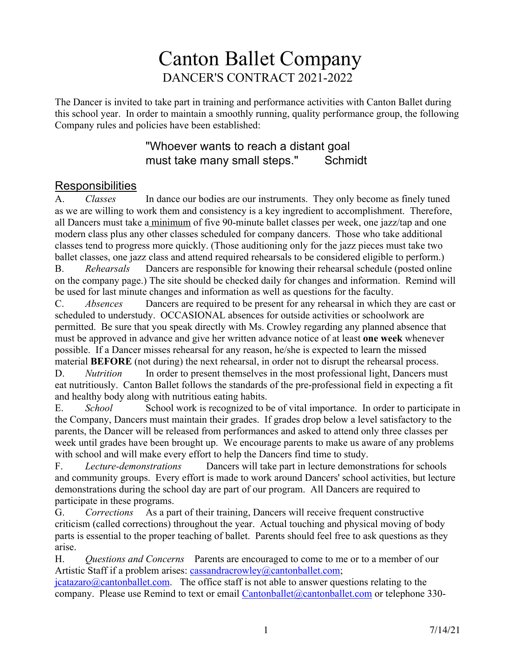## Canton Ballet Company DANCER'S CONTRACT 2021-2022

The Dancer is invited to take part in training and performance activities with Canton Ballet during this school year. In order to maintain a smoothly running, quality performance group, the following Company rules and policies have been established:

#### "Whoever wants to reach a distant goal must take many small steps." Schmidt

# Responsibilities<br>A. Classes

A. *Classes* In dance our bodies are our instruments. They only become as finely tuned as we are willing to work them and consistency is a key ingredient to accomplishment. Therefore, all Dancers must take a minimum of five 90-minute ballet classes per week, one jazz/tap and one modern class plus any other classes scheduled for company dancers. Those who take additional classes tend to progress more quickly. (Those auditioning only for the jazz pieces must take two ballet classes, one jazz class and attend required rehearsals to be considered eligible to perform.)

B. *Rehearsals* Dancers are responsible for knowing their rehearsal schedule (posted online on the company page.) The site should be checked daily for changes and information. Remind will be used for last minute changes and information as well as questions for the faculty.

C. *Absences* Dancers are required to be present for any rehearsal in which they are cast or scheduled to understudy. OCCASIONAL absences for outside activities or schoolwork are permitted. Be sure that you speak directly with Ms. Crowley regarding any planned absence that must be approved in advance and give her written advance notice of at least **one week** whenever possible. If a Dancer misses rehearsal for any reason, he/she is expected to learn the missed material **BEFORE** (not during) the next rehearsal, in order not to disrupt the rehearsal process.

D. *Nutrition* In order to present themselves in the most professional light, Dancers must eat nutritiously. Canton Ballet follows the standards of the pre-professional field in expecting a fit and healthy body along with nutritious eating habits.

E. *School* School work is recognized to be of vital importance. In order to participate in the Company, Dancers must maintain their grades. If grades drop below a level satisfactory to the parents, the Dancer will be released from performances and asked to attend only three classes per week until grades have been brought up. We encourage parents to make us aware of any problems with school and will make every effort to help the Dancers find time to study.

F. *Lecture-demonstrations* Dancers will take part in lecture demonstrations for schools and community groups. Every effort is made to work around Dancers' school activities, but lecture demonstrations during the school day are part of our program. All Dancers are required to participate in these programs.

G. *Corrections* As a part of their training, Dancers will receive frequent constructive criticism (called corrections) throughout the year. Actual touching and physical moving of body parts is essential to the proper teaching of ballet. Parents should feel free to ask questions as they arise.

H. *Questions and Concerns* Parents are encouraged to come to me or to a member of our Artistic Staff if a problem arises: cassandracrowley@cantonballet.com;

 $\frac{1}{\text{datazaro}(a)$  cantonballet.com. The office staff is not able to answer questions relating to the company. Please use Remind to text or email Cantonballet@cantonballet.com or telephone 330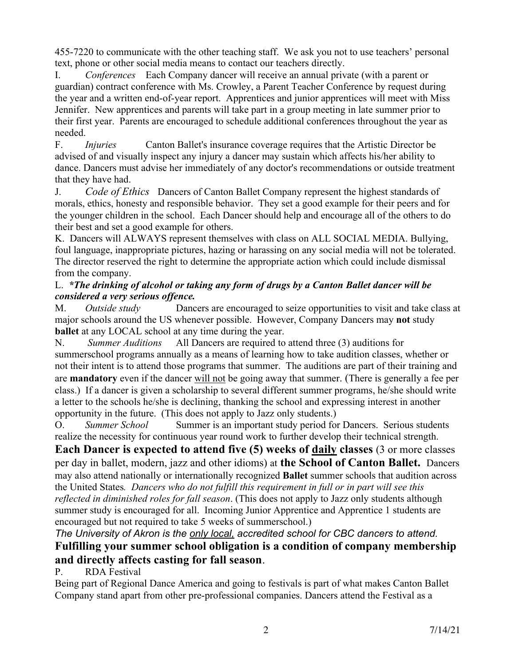455-7220 to communicate with the other teaching staff. We ask you not to use teachers' personal text, phone or other social media means to contact our teachers directly.

I. *Conferences* Each Company dancer will receive an annual private (with a parent or guardian) contract conference with Ms. Crowley, a Parent Teacher Conference by request during the year and a written end-of-year report. Apprentices and junior apprentices will meet with Miss Jennifer. New apprentices and parents will take part in a group meeting in late summer prior to their first year. Parents are encouraged to schedule additional conferences throughout the year as needed.

F. *Injuries* Canton Ballet's insurance coverage requires that the Artistic Director be advised of and visually inspect any injury a dancer may sustain which affects his/her ability to dance. Dancers must advise her immediately of any doctor's recommendations or outside treatment that they have had.

J. *Code of Ethics* Dancers of Canton Ballet Company represent the highest standards of morals, ethics, honesty and responsible behavior. They set a good example for their peers and for the younger children in the school. Each Dancer should help and encourage all of the others to do their best and set a good example for others.

K. Dancers will ALWAYS represent themselves with class on ALL SOCIAL MEDIA. Bullying, foul language, inappropriate pictures, hazing or harassing on any social media will not be tolerated. The director reserved the right to determine the appropriate action which could include dismissal from the company.

#### L. *\*The drinking of alcohol or taking any form of drugs by a Canton Ballet dancer will be considered a very serious offence.*

M. *Outside study* Dancers are encouraged to seize opportunities to visit and take class at major schools around the US whenever possible. However, Company Dancers may **not** study **ballet** at any LOCAL school at any time during the year.

N. *Summer Auditions* All Dancers are required to attend three (3) auditions for summerschool programs annually as a means of learning how to take audition classes, whether or not their intent is to attend those programs that summer. The auditions are part of their training and are **mandatory** even if the dancer will not be going away that summer. (There is generally a fee per class.) If a dancer is given a scholarship to several different summer programs, he/she should write a letter to the schools he/she is declining, thanking the school and expressing interest in another opportunity in the future. (This does not apply to Jazz only students.)

O. *Summer School* Summer is an important study period for Dancers. Serious students realize the necessity for continuous year round work to further develop their technical strength.

**Each Dancer is expected to attend five (5) weeks of daily classes** (3 or more classes per day in ballet, modern, jazz and other idioms) at **the School of Canton Ballet.** Dancers may also attend nationally or internationally recognized **Ballet** summer schools that audition across the United States*. Dancers who do not fulfill this requirement in full or in part will see this reflected in diminished roles for fall season*. (This does not apply to Jazz only students although summer study is encouraged for all. Incoming Junior Apprentice and Apprentice 1 students are encouraged but not required to take 5 weeks of summerschool.)

#### *The University of Akron is the only local, accredited school for CBC dancers to attend.* **Fulfilling your summer school obligation is a condition of company membership and directly affects casting for fall season**.

P. RDA Festival

Being part of Regional Dance America and going to festivals is part of what makes Canton Ballet Company stand apart from other pre-professional companies. Dancers attend the Festival as a